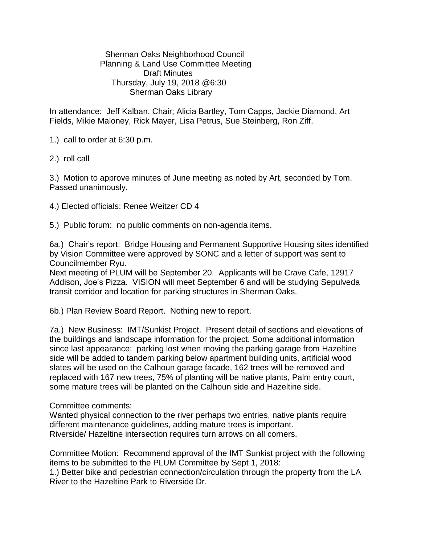Sherman Oaks Neighborhood Council Planning & Land Use Committee Meeting Draft Minutes Thursday, July 19, 2018 @6:30 Sherman Oaks Library

In attendance: Jeff Kalban, Chair; Alicia Bartley, Tom Capps, Jackie Diamond, Art Fields, Mikie Maloney, Rick Mayer, Lisa Petrus, Sue Steinberg, Ron Ziff.

1.) call to order at 6:30 p.m.

2.) roll call

3.) Motion to approve minutes of June meeting as noted by Art, seconded by Tom. Passed unanimously.

4.) Elected officials: Renee Weitzer CD 4

5.) Public forum: no public comments on non-agenda items.

6a.) Chair's report: Bridge Housing and Permanent Supportive Housing sites identified by Vision Committee were approved by SONC and a letter of support was sent to Councilmember Ryu.

Next meeting of PLUM will be September 20. Applicants will be Crave Cafe, 12917 Addison, Joe's Pizza. VISION will meet September 6 and will be studying Sepulveda transit corridor and location for parking structures in Sherman Oaks.

6b.) Plan Review Board Report. Nothing new to report.

7a.) New Business: IMT/Sunkist Project. Present detail of sections and elevations of the buildings and landscape information for the project. Some additional information since last appearance: parking lost when moving the parking garage from Hazeltine side will be added to tandem parking below apartment building units, artificial wood slates will be used on the Calhoun garage facade, 162 trees will be removed and replaced with 167 new trees, 75% of planting will be native plants, Palm entry court, some mature trees will be planted on the Calhoun side and Hazeltine side.

Committee comments:

Wanted physical connection to the river perhaps two entries, native plants require different maintenance guidelines, adding mature trees is important. Riverside/ Hazeltine intersection requires turn arrows on all corners.

Committee Motion: Recommend approval of the IMT Sunkist project with the following items to be submitted to the PLUM Committee by Sept 1, 2018:

1.) Better bike and pedestrian connection/circulation through the property from the LA River to the Hazeltine Park to Riverside Dr.